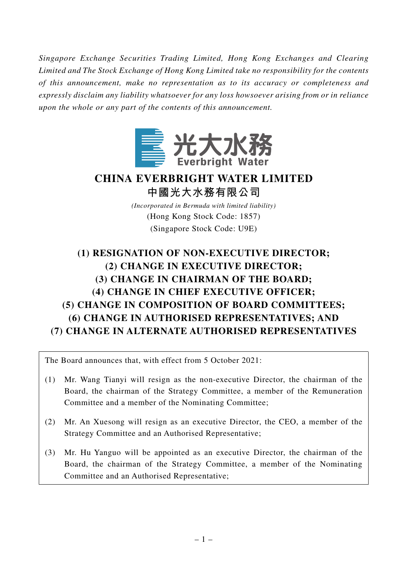*Singapore Exchange Securities Trading Limited, Hong Kong Exchanges and Clearing Limited and The Stock Exchange of Hong Kong Limited take no responsibility for the contents of this announcement, make no representation as to its accuracy or completeness and expressly disclaim any liability whatsoever for any loss howsoever arising from or in reliance upon the whole or any part of the contents of this announcement.*



## **CHINA EVERBRIGHT WATER LIMITED 中國光大水務有限公司**

*(Incorporated in Bermuda with limited liability)* (Hong Kong Stock Code: 1857) (Singapore Stock Code: U9E)

# **(1) RESIGNATION OF NON-EXECUTIVE DIRECTOR; (2) CHANGE IN EXECUTIVE DIRECTOR; (3) CHANGE IN CHAIRMAN OF THE BOARD; (4) CHANGE IN CHIEF EXECUTIVE OFFICER; (5) CHANGE IN COMPOSITION OF BOARD COMMITTEES; (6) CHANGE IN AUTHORISED REPRESENTATIVES; AND (7) CHANGE IN ALTERNATE AUTHORISED REPRESENTATIVES**

The Board announces that, with effect from 5 October 2021:

- (1) Mr. Wang Tianyi will resign as the non-executive Director, the chairman of the Board, the chairman of the Strategy Committee, a member of the Remuneration Committee and a member of the Nominating Committee;
- (2) Mr. An Xuesong will resign as an executive Director, the CEO, a member of the Strategy Committee and an Authorised Representative;
- (3) Mr. Hu Yanguo will be appointed as an executive Director, the chairman of the Board, the chairman of the Strategy Committee, a member of the Nominating Committee and an Authorised Representative;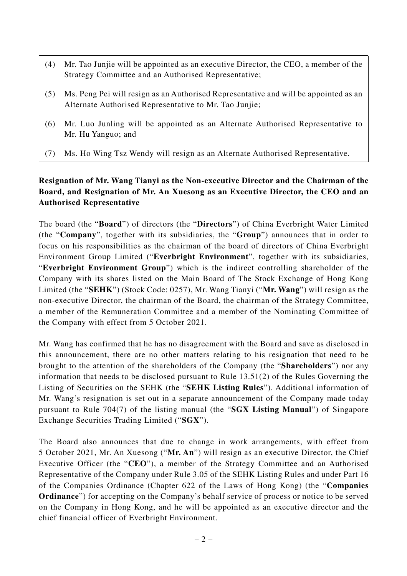- (4) Mr. Tao Junjie will be appointed as an executive Director, the CEO, a member of the Strategy Committee and an Authorised Representative;
- (5) Ms. Peng Pei will resign as an Authorised Representative and will be appointed as an Alternate Authorised Representative to Mr. Tao Junjie;
- (6) Mr. Luo Junling will be appointed as an Alternate Authorised Representative to Mr. Hu Yanguo; and
- (7) Ms. Ho Wing Tsz Wendy will resign as an Alternate Authorised Representative.

#### **Resignation of Mr. Wang Tianyi as the Non-executive Director and the Chairman of the Board, and Resignation of Mr. An Xuesong as an Executive Director, the CEO and an Authorised Representative**

The board (the "**Board**") of directors (the "**Directors**") of China Everbright Water Limited (the "**Company**", together with its subsidiaries, the "**Group**") announces that in order to focus on his responsibilities as the chairman of the board of directors of China Everbright Environment Group Limited ("**Everbright Environment**", together with its subsidiaries, "**Everbright Environment Group**") which is the indirect controlling shareholder of the Company with its shares listed on the Main Board of The Stock Exchange of Hong Kong Limited (the "**SEHK**") (Stock Code: 0257), Mr. Wang Tianyi ("**Mr. Wang**") will resign as the non-executive Director, the chairman of the Board, the chairman of the Strategy Committee, a member of the Remuneration Committee and a member of the Nominating Committee of the Company with effect from 5 October 2021.

Mr. Wang has confirmed that he has no disagreement with the Board and save as disclosed in this announcement, there are no other matters relating to his resignation that need to be brought to the attention of the shareholders of the Company (the "**Shareholders**") nor any information that needs to be disclosed pursuant to Rule 13.51(2) of the Rules Governing the Listing of Securities on the SEHK (the "**SEHK Listing Rules**"). Additional information of Mr. Wang's resignation is set out in a separate announcement of the Company made today pursuant to Rule 704(7) of the listing manual (the "**SGX Listing Manual**") of Singapore Exchange Securities Trading Limited ("**SGX**").

The Board also announces that due to change in work arrangements, with effect from 5 October 2021, Mr. An Xuesong ("**Mr. An**") will resign as an executive Director, the Chief Executive Officer (the "**CEO**"), a member of the Strategy Committee and an Authorised Representative of the Company under Rule 3.05 of the SEHK Listing Rules and under Part 16 of the Companies Ordinance (Chapter 622 of the Laws of Hong Kong) (the "**Companies Ordinance**") for accepting on the Company's behalf service of process or notice to be served on the Company in Hong Kong, and he will be appointed as an executive director and the chief financial officer of Everbright Environment.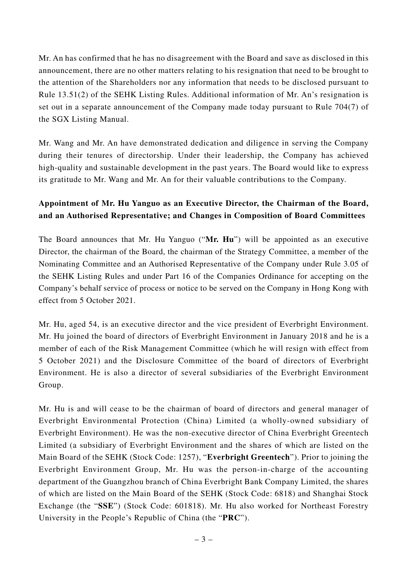Mr. An has confirmed that he has no disagreement with the Board and save as disclosed in this announcement, there are no other matters relating to his resignation that need to be brought to the attention of the Shareholders nor any information that needs to be disclosed pursuant to Rule 13.51(2) of the SEHK Listing Rules. Additional information of Mr. An's resignation is set out in a separate announcement of the Company made today pursuant to Rule 704(7) of the SGX Listing Manual.

Mr. Wang and Mr. An have demonstrated dedication and diligence in serving the Company during their tenures of directorship. Under their leadership, the Company has achieved high-quality and sustainable development in the past years. The Board would like to express its gratitude to Mr. Wang and Mr. An for their valuable contributions to the Company.

## **Appointment of Mr. Hu Yanguo as an Executive Director, the Chairman of the Board, and an Authorised Representative; and Changes in Composition of Board Committees**

The Board announces that Mr. Hu Yanguo ("**Mr. Hu**") will be appointed as an executive Director, the chairman of the Board, the chairman of the Strategy Committee, a member of the Nominating Committee and an Authorised Representative of the Company under Rule 3.05 of the SEHK Listing Rules and under Part 16 of the Companies Ordinance for accepting on the Company's behalf service of process or notice to be served on the Company in Hong Kong with effect from 5 October 2021.

Mr. Hu, aged 54, is an executive director and the vice president of Everbright Environment. Mr. Hu joined the board of directors of Everbright Environment in January 2018 and he is a member of each of the Risk Management Committee (which he will resign with effect from 5 October 2021) and the Disclosure Committee of the board of directors of Everbright Environment. He is also a director of several subsidiaries of the Everbright Environment Group.

Mr. Hu is and will cease to be the chairman of board of directors and general manager of Everbright Environmental Protection (China) Limited (a wholly-owned subsidiary of Everbright Environment). He was the non-executive director of China Everbright Greentech Limited (a subsidiary of Everbright Environment and the shares of which are listed on the Main Board of the SEHK (Stock Code: 1257), "**Everbright Greentech**"). Prior to joining the Everbright Environment Group, Mr. Hu was the person-in-charge of the accounting department of the Guangzhou branch of China Everbright Bank Company Limited, the shares of which are listed on the Main Board of the SEHK (Stock Code: 6818) and Shanghai Stock Exchange (the "**SSE**") (Stock Code: 601818). Mr. Hu also worked for Northeast Forestry University in the People's Republic of China (the "**PRC**").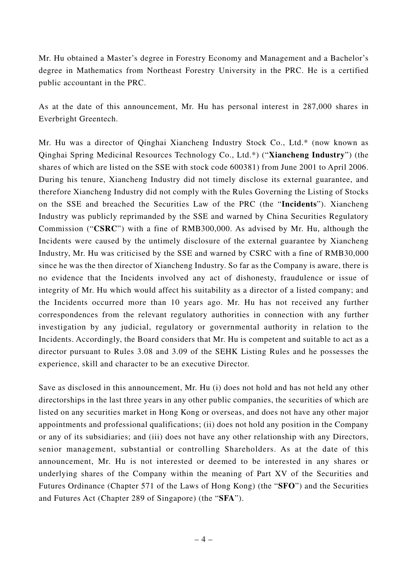Mr. Hu obtained a Master's degree in Forestry Economy and Management and a Bachelor's degree in Mathematics from Northeast Forestry University in the PRC. He is a certified public accountant in the PRC.

As at the date of this announcement, Mr. Hu has personal interest in 287,000 shares in Everbright Greentech.

Mr. Hu was a director of Qinghai Xiancheng Industry Stock Co., Ltd.\* (now known as Qinghai Spring Medicinal Resources Technology Co., Ltd.\*) ("**Xiancheng Industry**") (the shares of which are listed on the SSE with stock code 600381) from June 2001 to April 2006. During his tenure, Xiancheng Industry did not timely disclose its external guarantee, and therefore Xiancheng Industry did not comply with the Rules Governing the Listing of Stocks on the SSE and breached the Securities Law of the PRC (the "**Incidents**"). Xiancheng Industry was publicly reprimanded by the SSE and warned by China Securities Regulatory Commission ("**CSRC**") with a fine of RMB300,000. As advised by Mr. Hu, although the Incidents were caused by the untimely disclosure of the external guarantee by Xiancheng Industry, Mr. Hu was criticised by the SSE and warned by CSRC with a fine of RMB30,000 since he was the then director of Xiancheng Industry. So far as the Company is aware, there is no evidence that the Incidents involved any act of dishonesty, fraudulence or issue of integrity of Mr. Hu which would affect his suitability as a director of a listed company; and the Incidents occurred more than 10 years ago. Mr. Hu has not received any further correspondences from the relevant regulatory authorities in connection with any further investigation by any judicial, regulatory or governmental authority in relation to the Incidents. Accordingly, the Board considers that Mr. Hu is competent and suitable to act as a director pursuant to Rules 3.08 and 3.09 of the SEHK Listing Rules and he possesses the experience, skill and character to be an executive Director.

Save as disclosed in this announcement, Mr. Hu (i) does not hold and has not held any other directorships in the last three years in any other public companies, the securities of which are listed on any securities market in Hong Kong or overseas, and does not have any other major appointments and professional qualifications; (ii) does not hold any position in the Company or any of its subsidiaries; and (iii) does not have any other relationship with any Directors, senior management, substantial or controlling Shareholders. As at the date of this announcement, Mr. Hu is not interested or deemed to be interested in any shares or underlying shares of the Company within the meaning of Part XV of the Securities and Futures Ordinance (Chapter 571 of the Laws of Hong Kong) (the "**SFO**") and the Securities and Futures Act (Chapter 289 of Singapore) (the "**SFA**").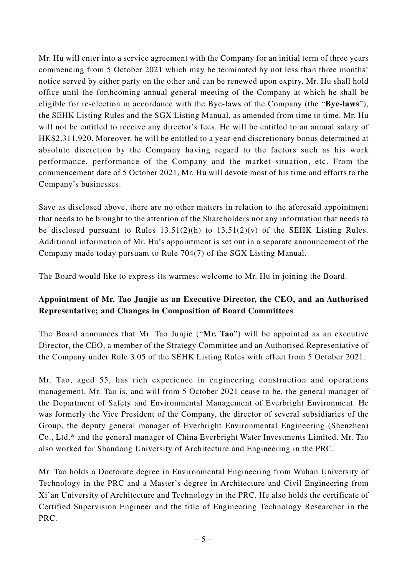Mr. Hu will enter into a service agreement with the Company for an initial term of three years commencing from 5 October 2021 which may be terminated by not less than three months' notice served by either party on the other and can be renewed upon expiry. Mr. Hu shall hold office until the forthcoming annual general meeting of the Company at which he shall be eligible for re-election in accordance with the Bye-laws of the Company (the "**Bye-laws**"), the SEHK Listing Rules and the SGX Listing Manual, as amended from time to time. Mr. Hu will not be entitled to receive any director's fees. He will be entitled to an annual salary of HK\$2,311,920. Moreover, he will be entitled to a year-end discretionary bonus determined at absolute discretion by the Company having regard to the factors such as his work performance, performance of the Company and the market situation, etc. From the commencement date of 5 October 2021, Mr. Hu will devote most of his time and efforts to the Company's businesses.

Save as disclosed above, there are no other matters in relation to the aforesaid appointment that needs to be brought to the attention of the Shareholders nor any information that needs to be disclosed pursuant to Rules  $13.51(2)(h)$  to  $13.51(2)(v)$  of the SEHK Listing Rules. Additional information of Mr. Hu's appointment is set out in a separate announcement of the Company made today pursuant to Rule 704(7) of the SGX Listing Manual.

The Board would like to express its warmest welcome to Mr. Hu in joining the Board.

#### **Appointment of Mr. Tao Junjie as an Executive Director, the CEO, and an Authorised Representative; and Changes in Composition of Board Committees**

The Board announces that Mr. Tao Junjie ("**Mr. Tao**") will be appointed as an executive Director, the CEO, a member of the Strategy Committee and an Authorised Representative of the Company under Rule 3.05 of the SEHK Listing Rules with effect from 5 October 2021.

Mr. Tao, aged 55, has rich experience in engineering construction and operations management. Mr. Tao is, and will from 5 October 2021 cease to be, the general manager of the Department of Safety and Environmental Management of Everbright Environment. He was formerly the Vice President of the Company, the director of several subsidiaries of the Group, the deputy general manager of Everbright Environmental Engineering (Shenzhen) Co., Ltd.\* and the general manager of China Everbright Water Investments Limited. Mr. Tao also worked for Shandong University of Architecture and Engineering in the PRC.

Mr. Tao holds a Doctorate degree in Environmental Engineering from Wuhan University of Technology in the PRC and a Master's degree in Architecture and Civil Engineering from Xi'an University of Architecture and Technology in the PRC. He also holds the certificate of Certified Supervision Engineer and the title of Engineering Technology Researcher in the PRC.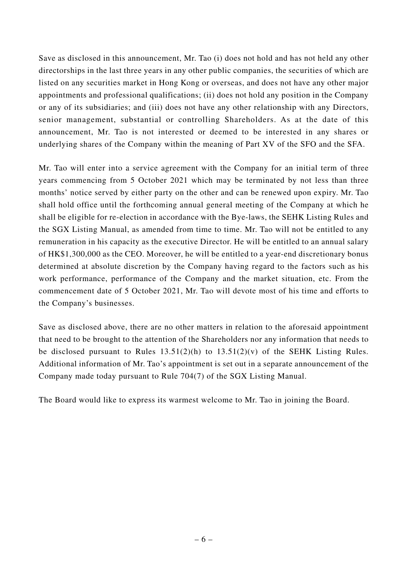Save as disclosed in this announcement, Mr. Tao (i) does not hold and has not held any other directorships in the last three years in any other public companies, the securities of which are listed on any securities market in Hong Kong or overseas, and does not have any other major appointments and professional qualifications; (ii) does not hold any position in the Company or any of its subsidiaries; and (iii) does not have any other relationship with any Directors, senior management, substantial or controlling Shareholders. As at the date of this announcement, Mr. Tao is not interested or deemed to be interested in any shares or underlying shares of the Company within the meaning of Part XV of the SFO and the SFA.

Mr. Tao will enter into a service agreement with the Company for an initial term of three years commencing from 5 October 2021 which may be terminated by not less than three months' notice served by either party on the other and can be renewed upon expiry. Mr. Tao shall hold office until the forthcoming annual general meeting of the Company at which he shall be eligible for re-election in accordance with the Bye-laws, the SEHK Listing Rules and the SGX Listing Manual, as amended from time to time. Mr. Tao will not be entitled to any remuneration in his capacity as the executive Director. He will be entitled to an annual salary of HK\$1,300,000 as the CEO. Moreover, he will be entitled to a year-end discretionary bonus determined at absolute discretion by the Company having regard to the factors such as his work performance, performance of the Company and the market situation, etc. From the commencement date of 5 October 2021, Mr. Tao will devote most of his time and efforts to the Company's businesses.

Save as disclosed above, there are no other matters in relation to the aforesaid appointment that need to be brought to the attention of the Shareholders nor any information that needs to be disclosed pursuant to Rules  $13.51(2)(h)$  to  $13.51(2)(v)$  of the SEHK Listing Rules. Additional information of Mr. Tao's appointment is set out in a separate announcement of the Company made today pursuant to Rule 704(7) of the SGX Listing Manual.

The Board would like to express its warmest welcome to Mr. Tao in joining the Board.